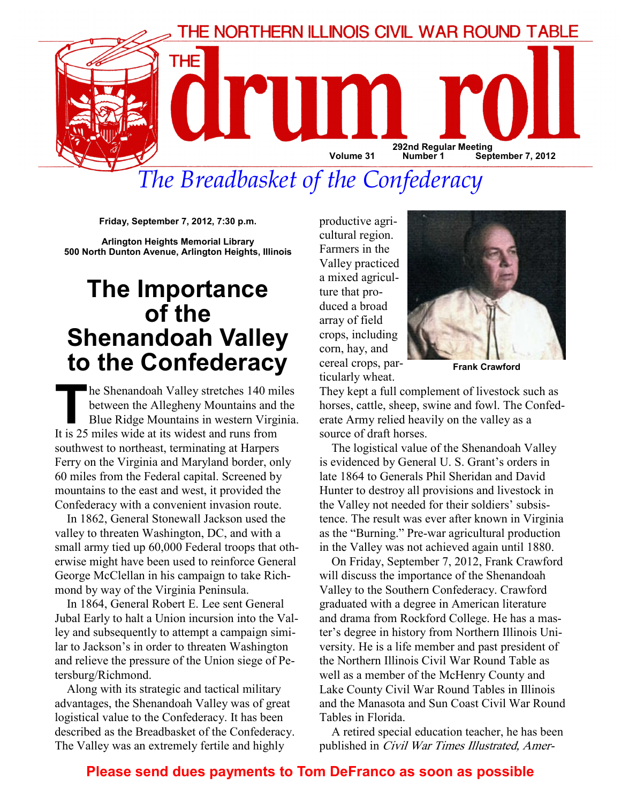

The Breadbasket of the Confederacy

Friday, September 7, 2012, 7:30 p.m.

Arlington Heights Memorial Library 500 North Dunton Avenue, Arlington Heights, Illinois

### The Importance of the Shenandoah Valley to the Confederacy

In the Shenandoah Valley stretches 140 miles<br>between the Allegheny Mountains and the<br>Blue Ridge Mountains in western Virginia.<br>It is 25 miles wide at its widest and runs from between the Allegheny Mountains and the Blue Ridge Mountains in western Virginia. It is 25 miles wide at its widest and runs from southwest to northeast, terminating at Harpers Ferry on the Virginia and Maryland border, only 60 miles from the Federal capital. Screened by mountains to the east and west, it provided the Confederacy with a convenient invasion route.

In 1862, General Stonewall Jackson used the valley to threaten Washington, DC, and with a small army tied up 60,000 Federal troops that otherwise might have been used to reinforce General George McClellan in his campaign to take Richmond by way of the Virginia Peninsula.

In 1864, General Robert E. Lee sent General Jubal Early to halt a Union incursion into the Valley and subsequently to attempt a campaign similar to Jackson's in order to threaten Washington and relieve the pressure of the Union siege of Petersburg/Richmond.

Along with its strategic and tactical military advantages, the Shenandoah Valley was of great logistical value to the Confederacy. It has been described as the Breadbasket of the Confederacy. The Valley was an extremely fertile and highly

productive agricultural region. Farmers in the Valley practiced a mixed agriculture that produced a broad array of field crops, including corn, hay, and cereal crops, particularly wheat.



Frank Crawford

They kept a full complement of livestock such as horses, cattle, sheep, swine and fowl. The Confederate Army relied heavily on the valley as a source of draft horses.

The logistical value of the Shenandoah Valley is evidenced by General U. S. Grant's orders in late 1864 to Generals Phil Sheridan and David Hunter to destroy all provisions and livestock in the Valley not needed for their soldiers' subsistence. The result was ever after known in Virginia as the "Burning." Pre-war agricultural production in the Valley was not achieved again until 1880.

On Friday, September 7, 2012, Frank Crawford will discuss the importance of the Shenandoah Valley to the Southern Confederacy. Crawford graduated with a degree in American literature and drama from Rockford College. He has a master's degree in history from Northern Illinois University. He is a life member and past president of the Northern Illinois Civil War Round Table as well as a member of the McHenry County and Lake County Civil War Round Tables in Illinois and the Manasota and Sun Coast Civil War Round Tables in Florida.

A retired special education teacher, he has been published in Civil War Times Illustrated, Amer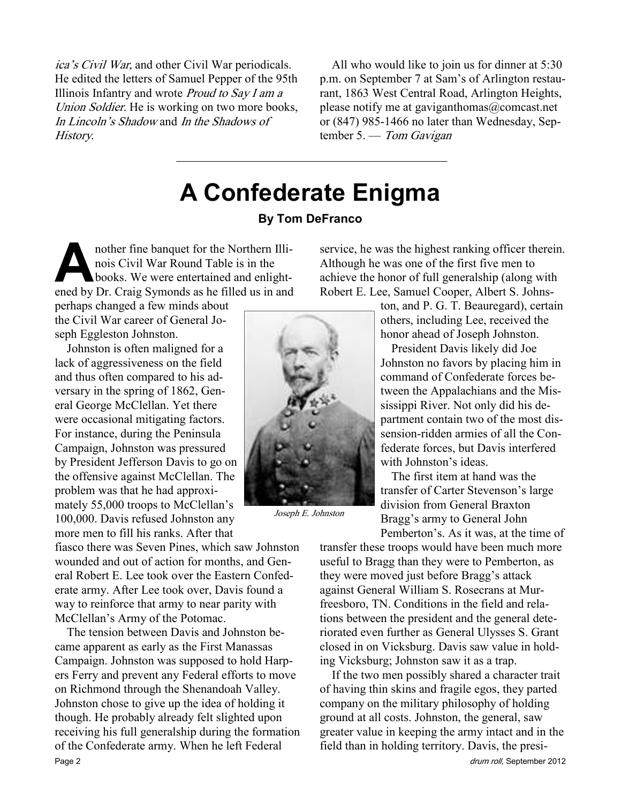ica's Civil War, and other Civil War periodicals. He edited the letters of Samuel Pepper of the 95th Illinois Infantry and wrote Proud to Say I am a Union Soldier. He is working on two more books, In Lincoln's Shadow and In the Shadows of History.

All who would like to join us for dinner at 5:30 p.m. on September 7 at Sam's of Arlington restaurant, 1863 West Central Road, Arlington Heights, please notify me at gaviganthomas $@$ comcast.net or (847) 985-1466 no later than Wednesday, September 5. — Tom Gavigan

## A Confederate Enigma

#### By Tom DeFranco

nother fine banquet for the Northern Illi-<br>nois Civil War Round Table is in the<br>books. We were entertained and enlight-<br>ened by Dr. Craig Symonds as he filled us in and nois Civil War Round Table is in the books. We were entertained and enlightened by Dr. Craig Symonds as he filled us in and

perhaps changed a few minds about the Civil War career of General Joseph Eggleston Johnston.

Johnston is often maligned for a lack of aggressiveness on the field and thus often compared to his adversary in the spring of 1862, General George McClellan. Yet there were occasional mitigating factors. For instance, during the Peninsula Campaign, Johnston was pressured by President Jefferson Davis to go on the offensive against McClellan. The problem was that he had approximately 55,000 troops to McClellan's 100,000. Davis refused Johnston any more men to fill his ranks. After that

fiasco there was Seven Pines, which saw Johnston wounded and out of action for months, and General Robert E. Lee took over the Eastern Confederate army. After Lee took over, Davis found a way to reinforce that army to near parity with McClellan's Army of the Potomac.

The tension between Davis and Johnston became apparent as early as the First Manassas Campaign. Johnston was supposed to hold Harpers Ferry and prevent any Federal efforts to move on Richmond through the Shenandoah Valley. Johnston chose to give up the idea of holding it though. He probably already felt slighted upon receiving his full generalship during the formation of the Confederate army. When he left Federal Page 2 drum roll, September 2012



Joseph E. Johnston

service, he was the highest ranking officer therein. Although he was one of the first five men to achieve the honor of full generalship (along with Robert E. Lee, Samuel Cooper, Albert S. Johns-

> ton, and P. G. T. Beauregard), certain others, including Lee, received the honor ahead of Joseph Johnston.

 President Davis likely did Joe Johnston no favors by placing him in command of Confederate forces between the Appalachians and the Mississippi River. Not only did his department contain two of the most dissension-ridden armies of all the Confederate forces, but Davis interfered with Johnston's ideas.

 The first item at hand was the transfer of Carter Stevenson's large division from General Braxton Bragg's army to General John Pemberton's. As it was, at the time of

transfer these troops would have been much more useful to Bragg than they were to Pemberton, as they were moved just before Bragg's attack against General William S. Rosecrans at Murfreesboro, TN. Conditions in the field and relations between the president and the general deteriorated even further as General Ulysses S. Grant closed in on Vicksburg. Davis saw value in holding Vicksburg; Johnston saw it as a trap.

If the two men possibly shared a character trait of having thin skins and fragile egos, they parted company on the military philosophy of holding ground at all costs. Johnston, the general, saw greater value in keeping the army intact and in the field than in holding territory. Davis, the presi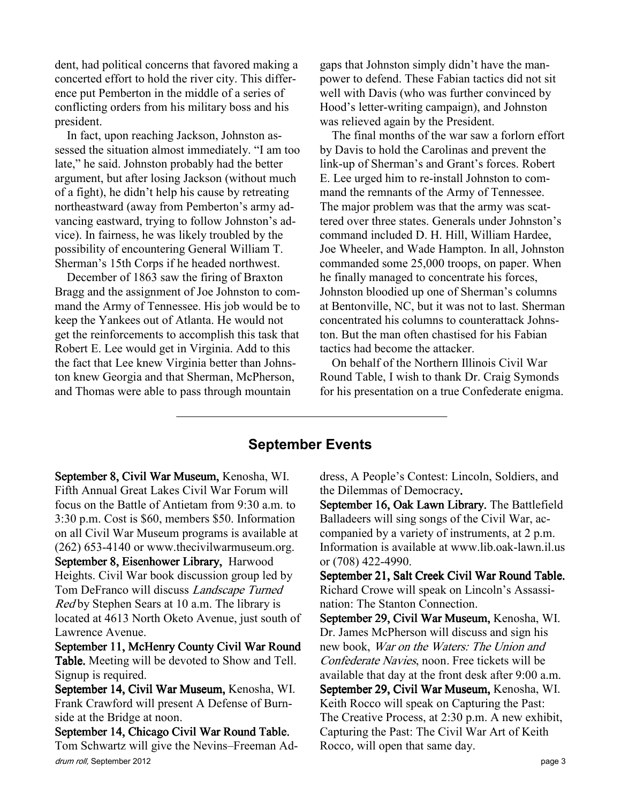dent, had political concerns that favored making a concerted effort to hold the river city. This difference put Pemberton in the middle of a series of conflicting orders from his military boss and his president.

In fact, upon reaching Jackson, Johnston assessed the situation almost immediately. "I am too late," he said. Johnston probably had the better argument, but after losing Jackson (without much of a fight), he didn't help his cause by retreating northeastward (away from Pemberton's army advancing eastward, trying to follow Johnston's advice). In fairness, he was likely troubled by the possibility of encountering General William T. Sherman's 15th Corps if he headed northwest.

December of 1863 saw the firing of Braxton Bragg and the assignment of Joe Johnston to command the Army of Tennessee. His job would be to keep the Yankees out of Atlanta. He would not get the reinforcements to accomplish this task that Robert E. Lee would get in Virginia. Add to this the fact that Lee knew Virginia better than Johnston knew Georgia and that Sherman, McPherson, and Thomas were able to pass through mountain

gaps that Johnston simply didn't have the manpower to defend. These Fabian tactics did not sit well with Davis (who was further convinced by Hood's letter-writing campaign), and Johnston was relieved again by the President.

The final months of the war saw a forlorn effort by Davis to hold the Carolinas and prevent the link-up of Sherman's and Grant's forces. Robert E. Lee urged him to re-install Johnston to command the remnants of the Army of Tennessee. The major problem was that the army was scattered over three states. Generals under Johnston's command included D. H. Hill, William Hardee, Joe Wheeler, and Wade Hampton. In all, Johnston commanded some 25,000 troops, on paper. When he finally managed to concentrate his forces, Johnston bloodied up one of Sherman's columns at Bentonville, NC, but it was not to last. Sherman concentrated his columns to counterattack Johnston. But the man often chastised for his Fabian tactics had become the attacker.

On behalf of the Northern Illinois Civil War Round Table, I wish to thank Dr. Craig Symonds for his presentation on a true Confederate enigma.

#### September Events

September 8, Civil War Museum, Kenosha, WI. Fifth Annual Great Lakes Civil War Forum will focus on the Battle of Antietam from 9:30 a.m. to 3:30 p.m. Cost is \$60, members \$50. Information on all Civil War Museum programs is available at (262) 653-4140 or www.thecivilwarmuseum.org. September 8, Eisenhower Library, Harwood Heights. Civil War book discussion group led by Tom DeFranco will discuss Landscape Turned Red by Stephen Sears at 10 a.m. The library is located at 4613 North Oketo Avenue, just south of Lawrence Avenue.

September 11, McHenry County Civil War Round Table. Meeting will be devoted to Show and Tell. Signup is required.

September 14, Civil War Museum, Kenosha, WI. Frank Crawford will present A Defense of Burnside at the Bridge at noon.

drum roll, September 2012 **page 3** September 14, Chicago Civil War Round Table. Tom Schwartz will give the Nevins–Freeman Ad-

dress, A People's Contest: Lincoln, Soldiers, and the Dilemmas of Democracy.

September 16, Oak Lawn Library. The Battlefield Balladeers will sing songs of the Civil War, accompanied by a variety of instruments, at 2 p.m. Information is available at www.lib.oak-lawn.il.us or (708) 422-4990.

September 21, Salt Creek Civil War Round Table. Richard Crowe will speak on Lincoln's Assassination: The Stanton Connection.

September 29, Civil War Museum, Kenosha, WI. Dr. James McPherson will discuss and sign his new book, War on the Waters: The Union and Confederate Navies, noon. Free tickets will be available that day at the front desk after 9:00 a.m. September 29, Civil War Museum, Kenosha, WI. Keith Rocco will speak on Capturing the Past: The Creative Process, at 2:30 p.m. A new exhibit, Capturing the Past: The Civil War Art of Keith Rocco, will open that same day.